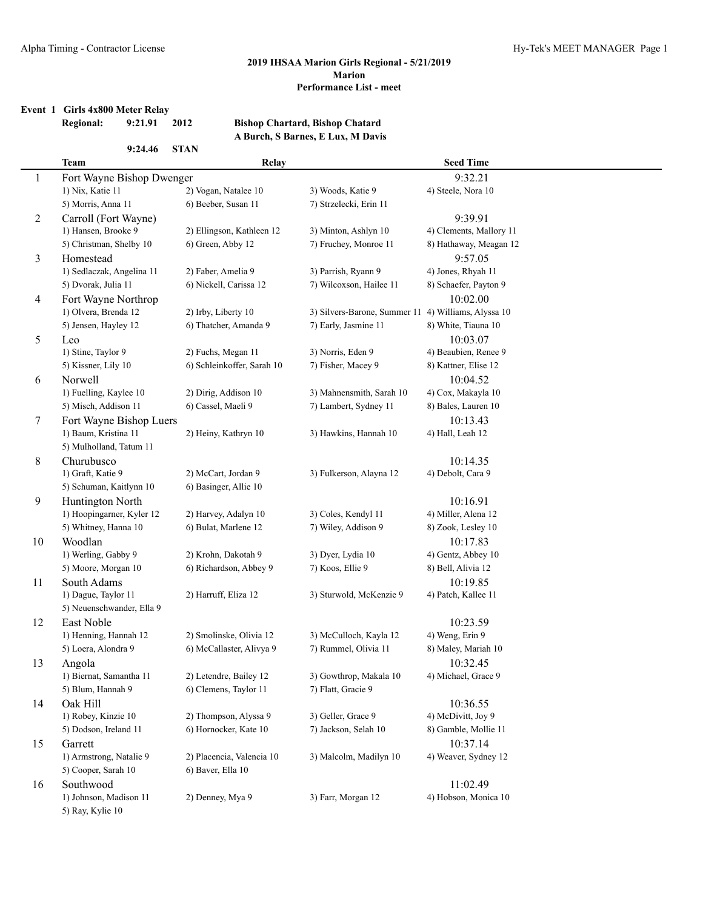## **Event 1 Girls 4x800 Meter Relay**

# **Regional: 9:21.91 2012 Bishop Chartard, Bishop Chatard**

**9:24.46 STAN**

## **A Burch, S Barnes, E Lux, M Davis**

|                | <b>Team</b>                         | Relay                      |                                                     | <b>Seed Time</b>        |
|----------------|-------------------------------------|----------------------------|-----------------------------------------------------|-------------------------|
| 1              | Fort Wayne Bishop Dwenger           |                            |                                                     | 9:32.21                 |
|                | 1) Nix, Katie 11                    | 2) Vogan, Natalee 10       | 3) Woods, Katie 9                                   | 4) Steele, Nora 10      |
|                | 5) Morris, Anna 11                  | 6) Beeber, Susan 11        | 7) Strzelecki, Erin 11                              |                         |
| $\overline{c}$ | Carroll (Fort Wayne)                |                            |                                                     | 9:39.91                 |
|                | 1) Hansen, Brooke 9                 | 2) Ellingson, Kathleen 12  | 3) Minton, Ashlyn 10                                | 4) Clements, Mallory 11 |
|                | 5) Christman, Shelby 10             | 6) Green, Abby 12          | 7) Fruchey, Monroe 11                               | 8) Hathaway, Meagan 12  |
| 3              | Homestead                           |                            |                                                     | 9:57.05                 |
|                | 1) Sedlaczak, Angelina 11           | 2) Faber, Amelia 9         | 3) Parrish, Ryann 9                                 | 4) Jones, Rhyah 11      |
|                | 5) Dvorak, Julia 11                 | 6) Nickell, Carissa 12     | 7) Wilcoxson, Hailee 11                             | 8) Schaefer, Payton 9   |
| 4              | Fort Wayne Northrop                 |                            |                                                     | 10:02.00                |
|                | 1) Olvera, Brenda 12                | 2) Irby, Liberty 10        | 3) Silvers-Barone, Summer 11 4) Williams, Alyssa 10 |                         |
|                | 5) Jensen, Hayley 12                | 6) Thatcher, Amanda 9      | 7) Early, Jasmine 11                                | 8) White, Tiauna 10     |
| 5              | Leo                                 |                            |                                                     | 10:03.07                |
|                | 1) Stine, Taylor 9                  | 2) Fuchs, Megan 11         | 3) Norris, Eden 9                                   | 4) Beaubien, Renee 9    |
|                | 5) Kissner, Lily 10                 | 6) Schleinkoffer, Sarah 10 | 7) Fisher, Macey 9                                  | 8) Kattner, Elise 12    |
| 6              | Norwell                             |                            |                                                     | 10:04.52                |
|                | 1) Fuelling, Kaylee 10              | 2) Dirig, Addison 10       | 3) Mahnensmith, Sarah 10                            | 4) Cox, Makayla 10      |
|                | 5) Misch, Addison 11                | 6) Cassel, Maeli 9         | 7) Lambert, Sydney 11                               | 8) Bales, Lauren 10     |
| 7              | Fort Wayne Bishop Luers             |                            |                                                     | 10:13.43                |
|                | 1) Baum, Kristina 11                | 2) Heiny, Kathryn 10       | 3) Hawkins, Hannah 10                               | 4) Hall, Leah 12        |
|                | 5) Mulholland, Tatum 11             |                            |                                                     |                         |
| 8              | Churubusco                          |                            |                                                     | 10:14.35                |
|                | 1) Graft, Katie 9                   | 2) McCart, Jordan 9        | 3) Fulkerson, Alayna 12                             | 4) Debolt, Cara 9       |
|                | 5) Schuman, Kaitlynn 10             | 6) Basinger, Allie 10      |                                                     |                         |
| 9              | Huntington North                    |                            |                                                     | 10:16.91                |
|                | 1) Hoopingarner, Kyler 12           | 2) Harvey, Adalyn 10       | 3) Coles, Kendyl 11                                 | 4) Miller, Alena 12     |
|                | 5) Whitney, Hanna 10                | 6) Bulat, Marlene 12       | 7) Wiley, Addison 9                                 | 8) Zook, Lesley 10      |
| 10             | Woodlan                             |                            |                                                     | 10:17.83                |
|                | 1) Werling, Gabby 9                 | 2) Krohn, Dakotah 9        | 3) Dyer, Lydia 10                                   | 4) Gentz, Abbey 10      |
|                | 5) Moore, Morgan 10                 | 6) Richardson, Abbey 9     | 7) Koos, Ellie 9                                    | 8) Bell, Alivia 12      |
| 11             | South Adams                         |                            |                                                     | 10:19.85                |
|                | 1) Dague, Taylor 11                 | 2) Harruff, Eliza 12       | 3) Sturwold, McKenzie 9                             | 4) Patch, Kallee 11     |
|                | 5) Neuenschwander, Ella 9           |                            |                                                     |                         |
| 12             | East Noble                          |                            |                                                     | 10:23.59                |
|                | 1) Henning, Hannah 12               | 2) Smolinske, Olivia 12    | 3) McCulloch, Kayla 12                              | 4) Weng, Erin 9         |
|                | 5) Loera, Alondra 9                 | 6) McCallaster, Alivya 9   | 7) Rummel, Olivia 11                                | 8) Maley, Mariah 10     |
| 13             | Angola                              |                            |                                                     | 10:32.45                |
|                | 1) Biernat, Samantha 11             | 2) Letendre, Bailey 12     | 3) Gowthrop, Makala 10                              | 4) Michael, Grace 9     |
|                | 5) Blum, Hannah 9                   | 6) Clemens, Taylor 11      | 7) Flatt, Gracie 9                                  |                         |
| 14             | Oak Hill                            |                            |                                                     | 10:36.55                |
|                | 1) Robey, Kinzie 10                 | 2) Thompson, Alyssa 9      | 3) Geller, Grace 9                                  | 4) McDivitt, Joy 9      |
|                | 5) Dodson, Ireland 11               | 6) Hornocker, Kate 10      | 7) Jackson, Selah 10                                | 8) Gamble, Mollie 11    |
| 15             | Garrett                             |                            |                                                     | 10:37.14                |
|                | 1) Armstrong, Natalie 9             | 2) Placencia, Valencia 10  | 3) Malcolm, Madilyn 10                              | 4) Weaver, Sydney 12    |
|                | 5) Cooper, Sarah 10                 | 6) Baver, Ella 10          |                                                     |                         |
| 16             | Southwood<br>1) Johnson, Madison 11 | 2) Denney, Mya 9           |                                                     | 11:02.49                |
|                | 5) Ray, Kylie 10                    |                            | 3) Farr, Morgan 12                                  | 4) Hobson, Monica 10    |
|                |                                     |                            |                                                     |                         |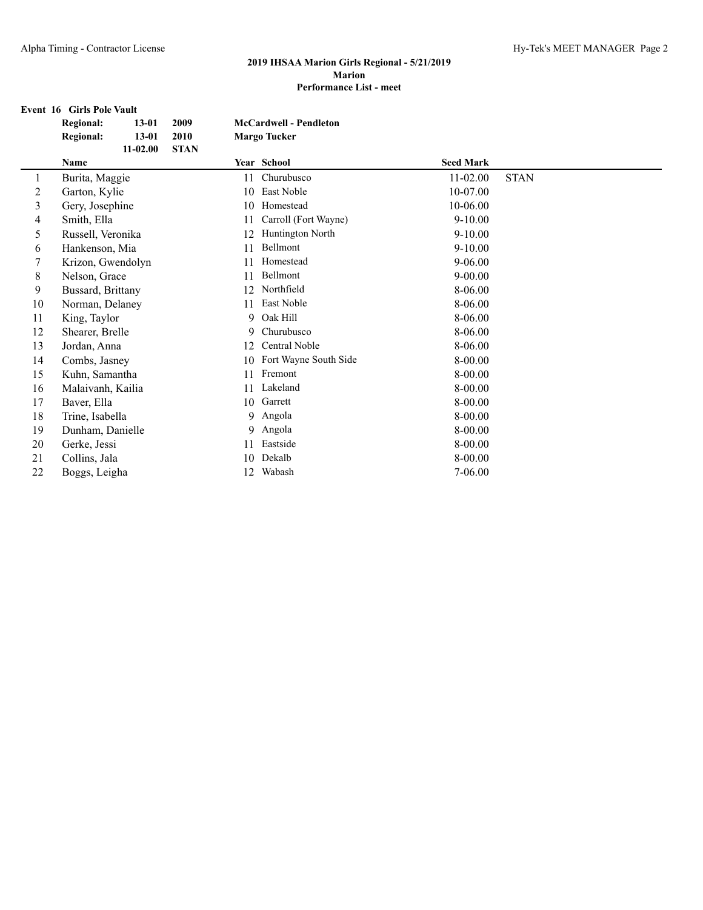## **Event 16 Girls Pole Vault Regional: 13-01 2009 McCardwell - Pendleton Regional: 13-01 2010 Margo Tucker 11-02.00 STAN Name Year School Seed Mark** 1 Burita, Maggie 211 Churubusco 11 -02.00 STAN 2 Garton, Kylie 10 East Noble 10-07.00 3 Gery, Josephine 10 Homestead 10-06.00 4 Smith, Ella 11 Carroll (Fort Wayne) 9-10.00 5 Russell, Veronika 12 Huntington North 9-10.00 6 Hankenson, Mia 11 Bellmont 9-10.00 7 Krizon, Gwendolyn 11 Homestead 9-06.00 8 Nelson, Grace 11 Bellmont 9-00.00 9 Bussard, Brittany 12 Northfield 8-06.00 10 Norman, Delaney 11 East Noble 8-06.00<br>
11 King, Taylor 9 Oak Hill 8-06.00 11 King, Taylor 9 Oak Hill 8-06.00 12 Shearer, Brelle 9 Churubusco 8-06.00 13 Jordan, Anna 12 Central Noble 8-06.00 14 Combs, Jasney 10 Fort Wayne South Side 8-00.00 15 Kuhn, Samantha 11 Fremont 8-00.00 16 Malaivanh, Kailia 11 Lakeland 8-00.00<br>17 Baver. Ella 10 Garrett 8-00.00 17 Baver, Ella 10 Garrett 8-00.00 18 Trine, Isabella 8-00.00 angola 8-00.00 19 Dunham, Danielle 9 Angola 8-00.00<br>
20 Gerke, Jessi 11 Eastside 8-00.00 20 Gerke, Jessi 11 Eastside 8-00.00 21 Collins, Jala 10 Dekalb 8-00.00<br>22 Boggs, Leigha 12 Wabash 7-06.00 22 Boggs, Leigha 12 Wabash 7-06.00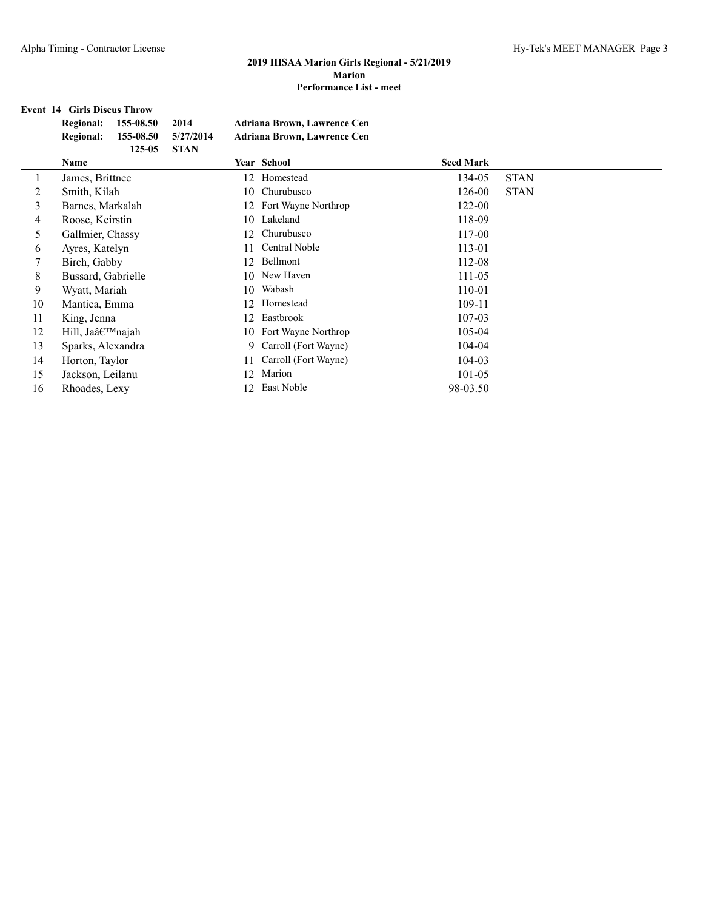## **Event 14 Girls Discus Throw**

|    | <b>Regional:</b><br>155-08.50 | 2014        | <b>Adriana Brown, Lawrence Cen</b> |                  |             |
|----|-------------------------------|-------------|------------------------------------|------------------|-------------|
|    | <b>Regional:</b><br>155-08.50 | 5/27/2014   | Adriana Brown, Lawrence Cen        |                  |             |
|    | 125-05<br>Name                | <b>STAN</b> | Year School                        | <b>Seed Mark</b> |             |
|    | James, Brittnee               | 12          | Homestead                          | 134-05           | <b>STAN</b> |
| 2  | Smith, Kilah                  | 10          | Churubusco                         | 126-00           | <b>STAN</b> |
| 3  | Barnes, Markalah              | 12          | Fort Wayne Northrop                | 122-00           |             |
| 4  | Roose, Keirstin               |             | 10 Lakeland                        | 118-09           |             |
| 5  | Gallmier, Chassy              | 12.         | Churubusco                         | 117-00           |             |
| 6  | Ayres, Katelyn                | 11          | Central Noble                      | 113-01           |             |
| 7  | Birch, Gabby                  | 12          | Bellmont                           | 112-08           |             |
| 8  | Bussard, Gabrielle            | 10          | New Haven                          | 111-05           |             |
| 9  | Wyatt, Mariah                 | 10          | Wabash                             | 110-01           |             |
| 10 | Mantica, Emma                 | 12          | Homestead                          | 109-11           |             |
| 11 | King, Jenna                   | 12          | Eastbrook                          | 107-03           |             |
| 12 | Hill, Ja'najah                | 10          | Fort Wayne Northrop                | 105-04           |             |
| 13 | Sparks, Alexandra             | 9           | Carroll (Fort Wayne)               | 104-04           |             |
| 14 | Horton, Taylor                | 11          | Carroll (Fort Wayne)               | 104-03           |             |
| 15 | Jackson, Leilanu              | 12          | Marion                             | 101-05           |             |
| 16 | Rhoades, Lexy                 | 12.         | East Noble                         | 98-03.50         |             |
|    |                               |             |                                    |                  |             |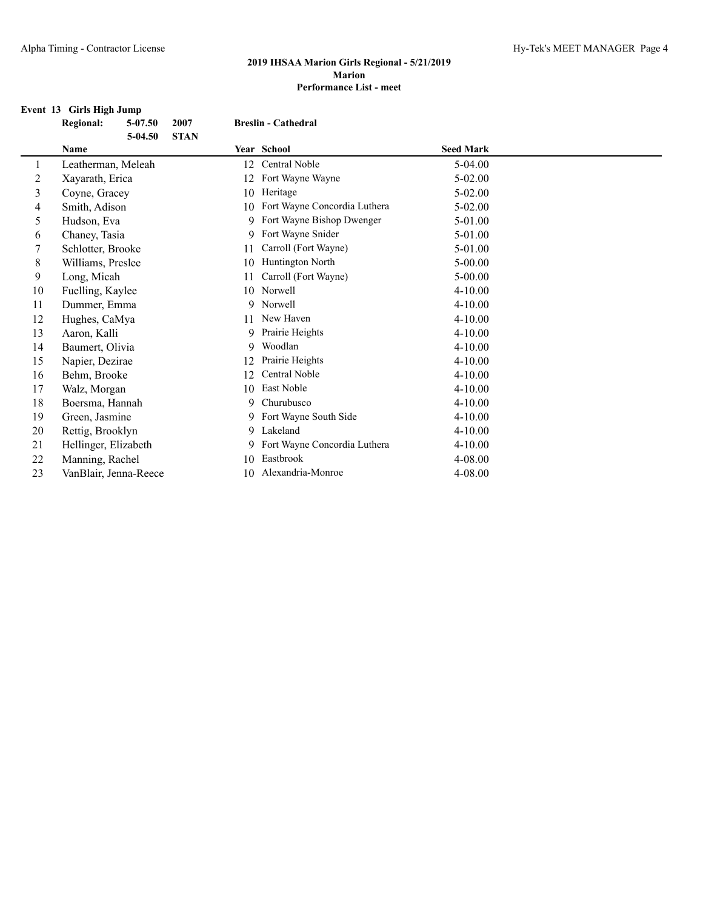## **Event 13 Girls High Jump**

|             | <b>Regional:</b>      | $5 - 07.50$<br>$5-04.50$ | 2007<br><b>STAN</b> |    | <b>Breslin - Cathedral</b>   |                  |  |
|-------------|-----------------------|--------------------------|---------------------|----|------------------------------|------------------|--|
|             | Name                  |                          |                     |    | Year School                  | <b>Seed Mark</b> |  |
| 1           | Leatherman, Meleah    |                          |                     | 12 | Central Noble                | $5-04.00$        |  |
| 2           | Xayarath, Erica       |                          |                     | 12 | Fort Wayne Wayne             | $5 - 02.00$      |  |
| 3           | Coyne, Gracey         |                          |                     | 10 | Heritage                     | $5 - 02.00$      |  |
| 4           | Smith, Adison         |                          |                     | 10 | Fort Wayne Concordia Luthera | $5 - 02.00$      |  |
| 5           | Hudson, Eva           |                          |                     | 9. | Fort Wayne Bishop Dwenger    | 5-01.00          |  |
| 6           | Chaney, Tasia         |                          |                     | 9  | Fort Wayne Snider            | 5-01.00          |  |
| 7           | Schlotter, Brooke     |                          |                     | 11 | Carroll (Fort Wayne)         | 5-01.00          |  |
| $\,$ 8 $\,$ | Williams, Preslee     |                          |                     | 10 | Huntington North             | $5 - 00.00$      |  |
| 9           | Long, Micah           |                          |                     | 11 | Carroll (Fort Wayne)         | $5 - 00.00$      |  |
| 10          | Fuelling, Kaylee      |                          |                     | 10 | Norwell                      | $4 - 10.00$      |  |
| 11          | Dummer, Emma          |                          |                     | 9  | Norwell                      | $4 - 10.00$      |  |
| 12          | Hughes, CaMya         |                          |                     | 11 | New Haven                    | 4-10.00          |  |
| 13          | Aaron, Kalli          |                          |                     | 9  | Prairie Heights              | 4-10.00          |  |
| 14          | Baumert, Olivia       |                          |                     | 9  | Woodlan                      | $4 - 10.00$      |  |
| 15          | Napier, Dezirae       |                          |                     | 12 | Prairie Heights              | $4 - 10.00$      |  |
| 16          | Behm, Brooke          |                          |                     | 12 | <b>Central Noble</b>         | 4-10.00          |  |
| 17          | Walz, Morgan          |                          |                     | 10 | East Noble                   | $4 - 10.00$      |  |
| 18          | Boersma, Hannah       |                          |                     | 9. | Churubusco                   | $4 - 10.00$      |  |
| 19          | Green, Jasmine        |                          |                     |    | 9 Fort Wayne South Side      | $4 - 10.00$      |  |
| 20          | Rettig, Brooklyn      |                          |                     |    | 9 Lakeland                   | 4-10.00          |  |
| 21          | Hellinger, Elizabeth  |                          |                     | 9. | Fort Wayne Concordia Luthera | 4-10.00          |  |
| 22          | Manning, Rachel       |                          |                     | 10 | Eastbrook                    | $4 - 08.00$      |  |
| 23          | VanBlair, Jenna-Reece |                          |                     | 10 | Alexandria-Monroe            | 4-08.00          |  |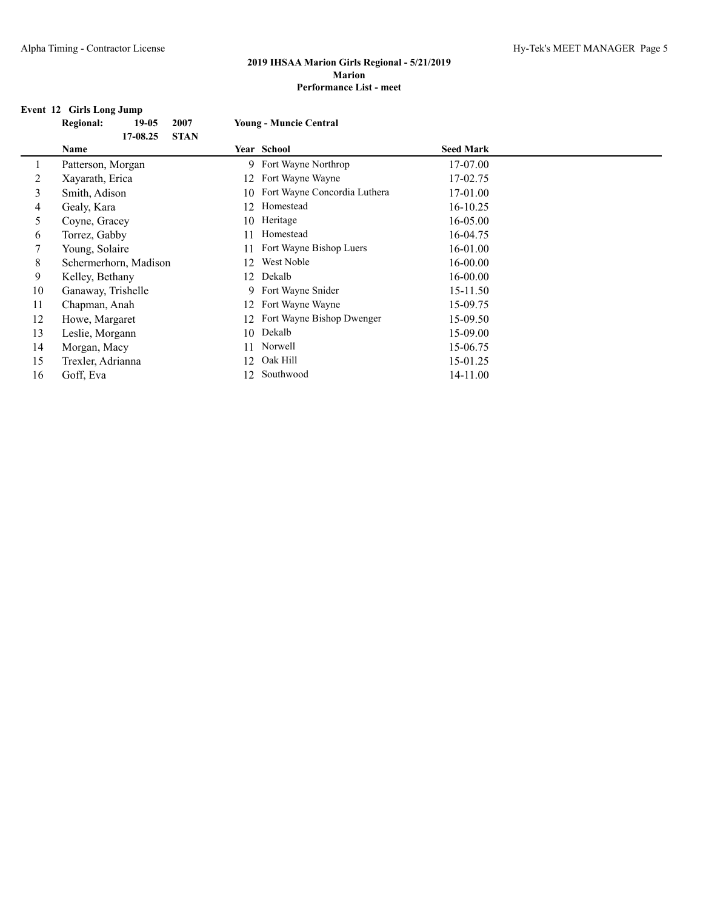## **Event 12 Girls Long Jump**

|    | $\sim$ 0.11 is none vaint.<br><b>Regional:</b><br>$19-05$ | 2007        | <b>Young - Muncie Central</b> |                  |  |
|----|-----------------------------------------------------------|-------------|-------------------------------|------------------|--|
|    | 17-08.25                                                  | <b>STAN</b> |                               |                  |  |
|    | Name                                                      |             | Year School                   | <b>Seed Mark</b> |  |
| 1  | Patterson, Morgan                                         |             | 9 Fort Wayne Northrop         | 17-07.00         |  |
| 2  | Xayarath, Erica                                           | 12          | Fort Wayne Wayne              | 17-02.75         |  |
| 3  | Smith, Adison                                             | 10          | Fort Wayne Concordia Luthera  | 17-01.00         |  |
| 4  | Gealy, Kara                                               | 12          | Homestead                     | $16 - 10.25$     |  |
| 5  | Coyne, Gracey                                             | 10          | Heritage                      | 16-05.00         |  |
| 6  | Torrez, Gabby                                             | 11          | Homestead                     | 16-04.75         |  |
|    | Young, Solaire                                            | 11          | Fort Wayne Bishop Luers       | 16-01.00         |  |
| 8  | Schermerhorn, Madison                                     | 12          | West Noble                    | 16-00.00         |  |
| 9  | Kelley, Bethany                                           | 12          | Dekalb                        | 16-00.00         |  |
| 10 | Ganaway, Trishelle                                        |             | 9 Fort Wayne Snider           | 15-11.50         |  |
| 11 | Chapman, Anah                                             | 12          | Fort Wayne Wayne              | 15-09.75         |  |
| 12 | Howe, Margaret                                            | 12          | Fort Wayne Bishop Dwenger     | 15-09.50         |  |
| 13 | Leslie, Morgann                                           | 10          | Dekalb                        | 15-09.00         |  |
| 14 | Morgan, Macy                                              | 11          | Norwell                       | 15-06.75         |  |
| 15 | Trexler, Adrianna                                         | 12          | Oak Hill                      | 15-01.25         |  |
| 16 | Goff, Eva                                                 | 12          | Southwood                     | 14-11.00         |  |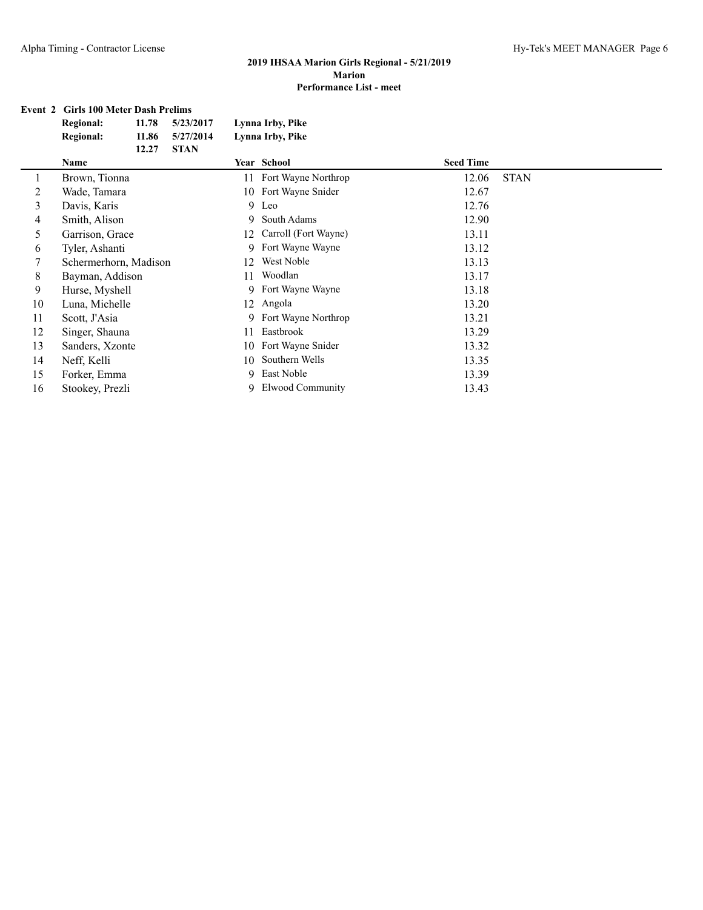## **Event 2 Girls 100 Meter Dash Prelims**

|    | <b>Regional:</b><br>11.78<br>5/23/2017 | Lynna Irby, Pike           |                      |
|----|----------------------------------------|----------------------------|----------------------|
|    | <b>Regional:</b><br>11.86<br>5/27/2014 | Lynna Irby, Pike           |                      |
|    | 12.27<br><b>STAN</b>                   |                            |                      |
|    | Name                                   | Year School                | <b>Seed Time</b>     |
| 1  | Brown, Tionna                          | Fort Wayne Northrop<br>11  | <b>STAN</b><br>12.06 |
| 2  | Wade, Tamara                           | Fort Wayne Snider<br>10    | 12.67                |
| 3  | Davis, Karis                           | 9 Leo                      | 12.76                |
| 4  | Smith, Alison                          | South Adams<br>9.          | 12.90                |
| 5  | Garrison, Grace                        | Carroll (Fort Wayne)<br>12 | 13.11                |
| 6  | Tyler, Ashanti                         | Fort Wayne Wayne<br>9      | 13.12                |
| 7  | Schermerhorn, Madison                  | West Noble<br>12           | 13.13                |
| 8  | Bayman, Addison                        | Woodlan<br>11              | 13.17                |
| 9  | Hurse, Myshell                         | Fort Wayne Wayne<br>9.     | 13.18                |
| 10 | Luna, Michelle                         | Angola<br>12               | 13.20                |
| 11 | Scott, J'Asia                          | Fort Wayne Northrop<br>9   | 13.21                |
| 12 | Singer, Shauna                         | Eastbrook<br>11            | 13.29                |
| 13 | Sanders, Xzonte                        | Fort Wayne Snider<br>10    | 13.32                |
| 14 | Neff, Kelli                            | Southern Wells<br>10       | 13.35                |
| 15 | Forker, Emma                           | East Noble<br>9            | 13.39                |
| 16 | Stookey, Prezli                        | Elwood Community<br>9      | 13.43                |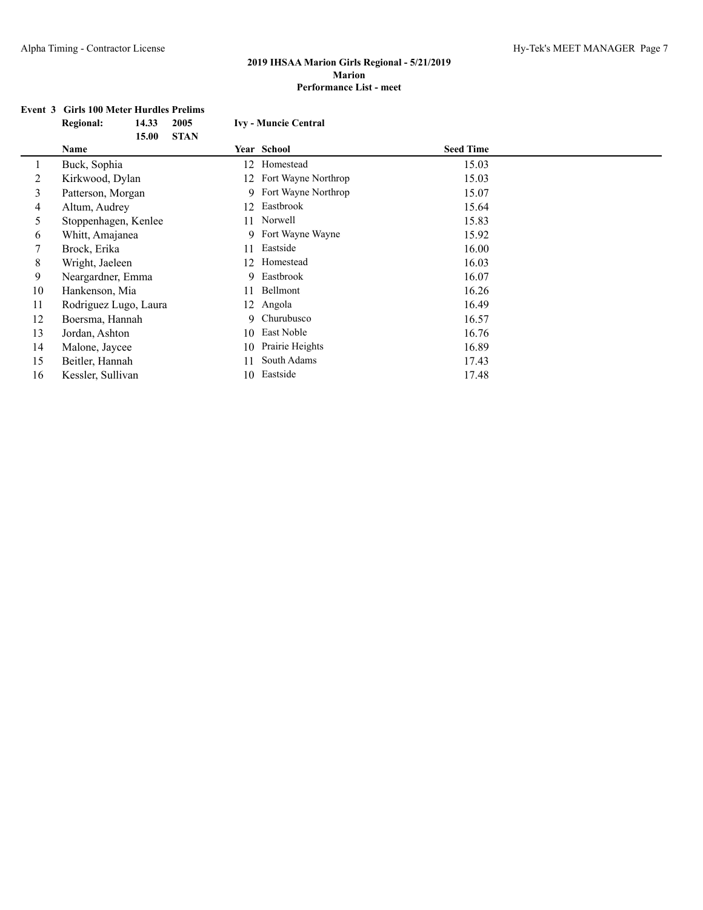# **Event 3 Girls 100 Meter Hurdles Prelims<br>Regional:** 14.33 2005

|    | <b>Regional:</b>      | 14.33 | 2005        |    | <b>Ivy - Muncie Central</b> |                  |  |
|----|-----------------------|-------|-------------|----|-----------------------------|------------------|--|
|    |                       | 15.00 | <b>STAN</b> |    |                             |                  |  |
|    | Name                  |       |             |    | <b>Year School</b>          | <b>Seed Time</b> |  |
|    | Buck, Sophia          |       |             | 12 | Homestead                   | 15.03            |  |
| 2  | Kirkwood, Dylan       |       |             | 12 | Fort Wayne Northrop         | 15.03            |  |
| 3  | Patterson, Morgan     |       |             | 9. | Fort Wayne Northrop         | 15.07            |  |
| 4  | Altum, Audrey         |       |             | 12 | Eastbrook                   | 15.64            |  |
| 5  | Stoppenhagen, Kenlee  |       |             |    | 11 Norwell                  | 15.83            |  |
| 6  | Whitt, Amajanea       |       |             |    | 9 Fort Wayne Wayne          | 15.92            |  |
| 7  | Brock, Erika          |       |             | 11 | Eastside                    | 16.00            |  |
| 8  | Wright, Jaeleen       |       |             | 12 | Homestead                   | 16.03            |  |
| 9  | Neargardner, Emma     |       |             | 9  | Eastbrook                   | 16.07            |  |
| 10 | Hankenson, Mia        |       |             | 11 | Bellmont                    | 16.26            |  |
| 11 | Rodriguez Lugo, Laura |       |             | 12 | Angola                      | 16.49            |  |
| 12 | Boersma, Hannah       |       |             | 9. | Churubusco                  | 16.57            |  |
| 13 | Jordan, Ashton        |       |             | 10 | East Noble                  | 16.76            |  |
| 14 | Malone, Jaycee        |       |             | 10 | Prairie Heights             | 16.89            |  |
| 15 | Beitler, Hannah       |       |             | 11 | South Adams                 | 17.43            |  |
| 16 | Kessler, Sullivan     |       |             | 10 | Eastside                    | 17.48            |  |
|    |                       |       |             |    |                             |                  |  |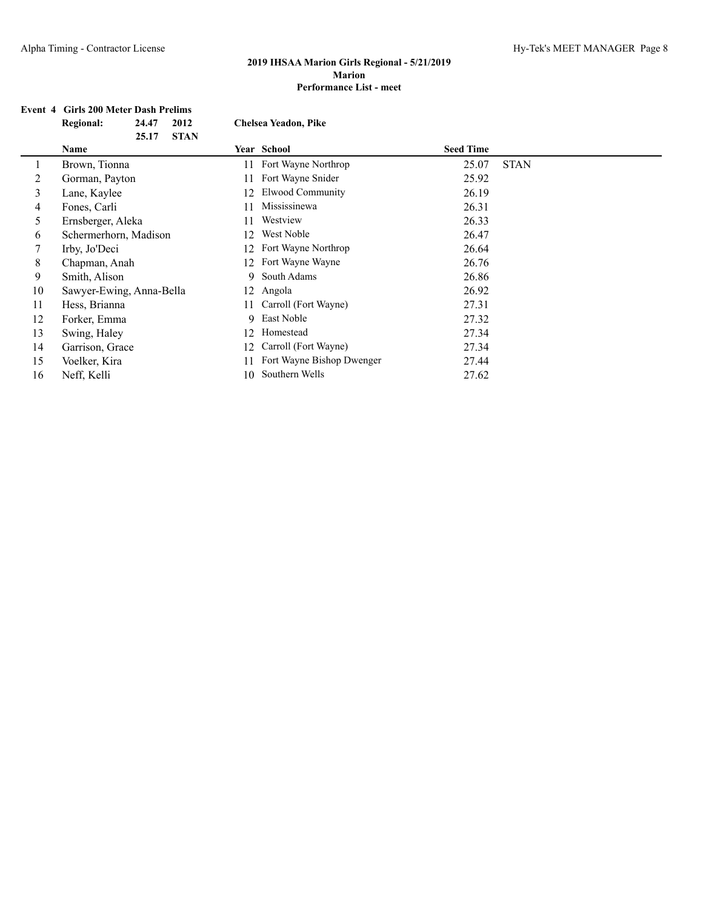# **Event 4 Girls 200 Meter Dash Prelims**

|    | <b>Regional:</b>         | 24.47 | 2012        |    | <b>Chelsea Yeadon, Pike</b> |                  |             |  |
|----|--------------------------|-------|-------------|----|-----------------------------|------------------|-------------|--|
|    |                          | 25.17 | <b>STAN</b> |    |                             |                  |             |  |
|    | Name                     |       |             |    | <b>Year School</b>          | <b>Seed Time</b> |             |  |
|    | Brown, Tionna            |       |             | 11 | Fort Wayne Northrop         | 25.07            | <b>STAN</b> |  |
| 2  | Gorman, Payton           |       |             | 11 | Fort Wayne Snider           | 25.92            |             |  |
| 3  | Lane, Kaylee             |       |             | 12 | Elwood Community            | 26.19            |             |  |
| 4  | Fones, Carli             |       |             |    | Mississinewa                | 26.31            |             |  |
| 5  | Ernsberger, Aleka        |       |             |    | Westview                    | 26.33            |             |  |
| 6  | Schermerhorn, Madison    |       |             | 12 | West Noble                  | 26.47            |             |  |
| 7  | Irby, Jo'Deci            |       |             |    | Fort Wayne Northrop         | 26.64            |             |  |
| 8  | Chapman, Anah            |       |             | 12 | Fort Wayne Wayne            | 26.76            |             |  |
| 9  | Smith, Alison            |       |             | 9. | South Adams                 | 26.86            |             |  |
| 10 | Sawyer-Ewing, Anna-Bella |       |             | 12 | Angola                      | 26.92            |             |  |
| 11 | Hess, Brianna            |       |             | 11 | Carroll (Fort Wayne)        | 27.31            |             |  |
| 12 | Forker, Emma             |       |             | 9  | East Noble                  | 27.32            |             |  |
| 13 | Swing, Haley             |       |             | 12 | Homestead                   | 27.34            |             |  |
| 14 | Garrison, Grace          |       |             | 12 | Carroll (Fort Wayne)        | 27.34            |             |  |
| 15 | Voelker, Kira            |       |             |    | Fort Wayne Bishop Dwenger   | 27.44            |             |  |
| 16 | Neff, Kelli              |       |             | 10 | Southern Wells              | 27.62            |             |  |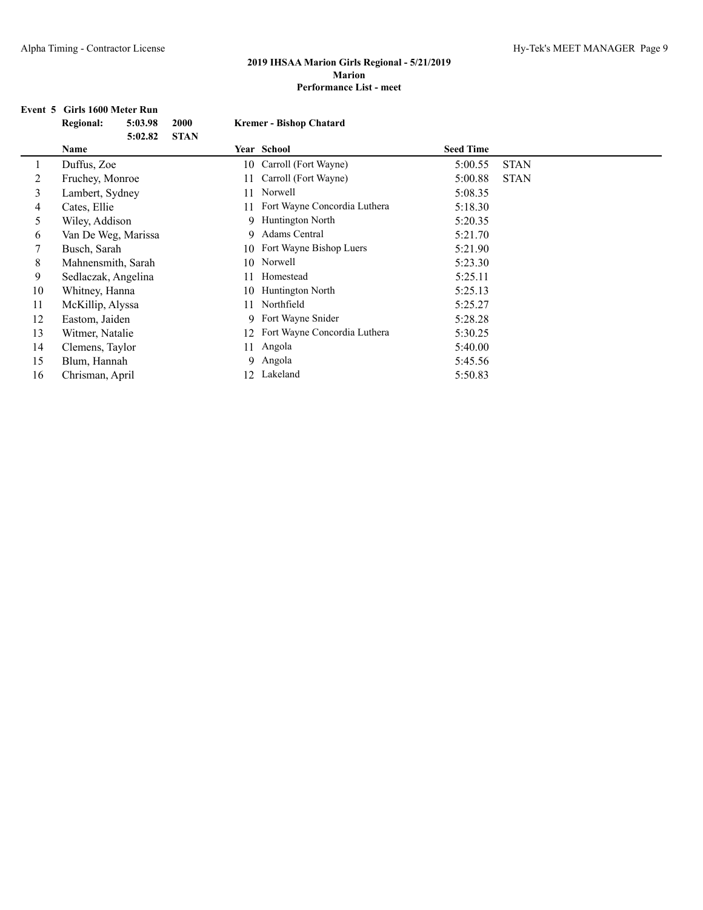## **Event 5 Girls 1600 Meter Run**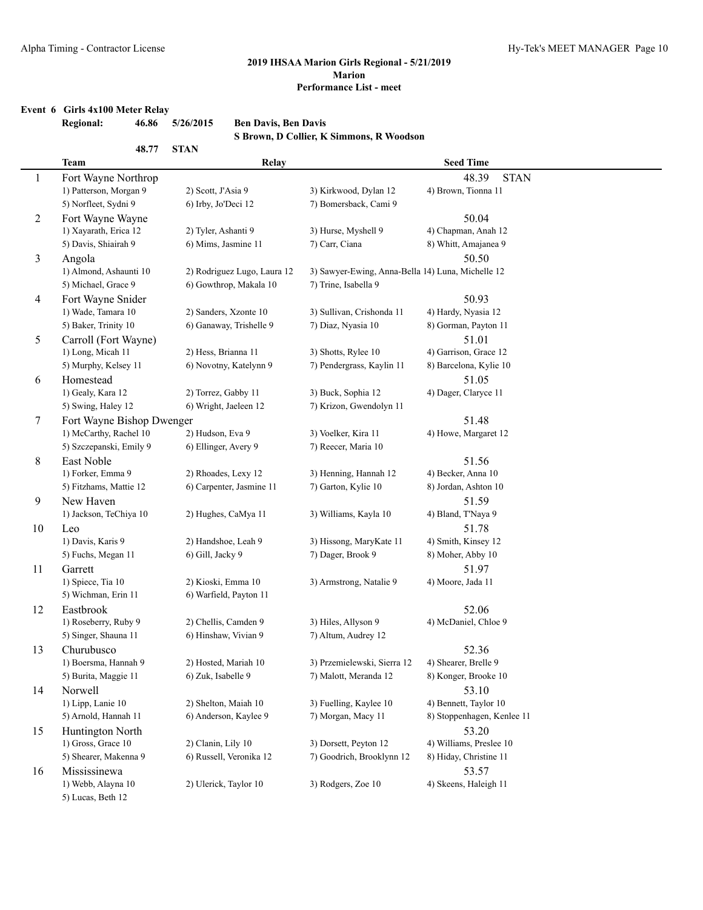#### **Event 6 Girls 4x100 Meter Relay**

|                | <b>Regional:</b>                         | 5/26/2015<br>46.86   | <b>Ben Davis, Ben Davis</b> | S Brown, D Collier, K Simmons, R Woodson          |                               |
|----------------|------------------------------------------|----------------------|-----------------------------|---------------------------------------------------|-------------------------------|
|                | <b>Team</b>                              | 48.77<br><b>STAN</b> | Relay                       |                                                   | <b>Seed Time</b>              |
| $\mathbf{1}$   | Fort Wayne Northrop                      |                      |                             |                                                   | 48.39<br><b>STAN</b>          |
|                | 1) Patterson, Morgan 9                   |                      | 2) Scott, J'Asia 9          | 3) Kirkwood, Dylan 12                             | 4) Brown, Tionna 11           |
|                | 5) Norfleet, Sydni 9                     |                      | 6) Irby, Jo'Deci 12         | 7) Bomersback, Cami 9                             |                               |
| $\overline{c}$ | Fort Wayne Wayne                         |                      |                             |                                                   | 50.04                         |
|                | 1) Xayarath, Erica 12                    |                      | 2) Tyler, Ashanti 9         | 3) Hurse, Myshell 9                               | 4) Chapman, Anah 12           |
|                | 5) Davis, Shiairah 9                     |                      | 6) Mims, Jasmine 11         | 7) Carr, Ciana                                    | 8) Whitt, Amajanea 9          |
| $\mathfrak{Z}$ | Angola                                   |                      |                             |                                                   | 50.50                         |
|                | 1) Almond, Ashaunti 10                   |                      | 2) Rodriguez Lugo, Laura 12 | 3) Sawyer-Ewing, Anna-Bella 14) Luna, Michelle 12 |                               |
|                | 5) Michael, Grace 9                      |                      | 6) Gowthrop, Makala 10      | 7) Trine, Isabella 9                              |                               |
| $\overline{4}$ | Fort Wayne Snider                        |                      |                             |                                                   | 50.93                         |
|                | 1) Wade, Tamara 10                       |                      | 2) Sanders, Xzonte 10       | 3) Sullivan, Crishonda 11                         | 4) Hardy, Nyasia 12           |
|                | 5) Baker, Trinity 10                     |                      | 6) Ganaway, Trishelle 9     | 7) Diaz, Nyasia 10                                | 8) Gorman, Payton 11          |
| 5              | Carroll (Fort Wayne)                     |                      |                             |                                                   | 51.01                         |
|                | 1) Long, Micah 11                        |                      | 2) Hess, Brianna 11         | 3) Shotts, Rylee 10                               | 4) Garrison, Grace 12         |
|                | 5) Murphy, Kelsey 11                     |                      | 6) Novotny, Katelynn 9      | 7) Pendergrass, Kaylin 11                         | 8) Barcelona, Kylie 10        |
| 6              | Homestead                                |                      |                             |                                                   | 51.05                         |
|                | 1) Gealy, Kara 12                        |                      | 2) Torrez, Gabby 11         | 3) Buck, Sophia 12                                | 4) Dager, Claryce 11          |
|                | 5) Swing, Haley 12                       |                      | 6) Wright, Jaeleen 12       | 7) Krizon, Gwendolyn 11                           |                               |
| $\tau$         | Fort Wayne Bishop Dwenger                |                      |                             |                                                   | 51.48                         |
|                | 1) McCarthy, Rachel 10                   |                      | 2) Hudson, Eva 9            | 3) Voelker, Kira 11                               | 4) Howe, Margaret 12          |
|                | 5) Szczepanski, Emily 9                  |                      | 6) Ellinger, Avery 9        | 7) Reecer, Maria 10                               |                               |
| 8              | East Noble                               |                      |                             |                                                   | 51.56                         |
|                | 1) Forker, Emma 9                        |                      | 2) Rhoades, Lexy 12         | 3) Henning, Hannah 12                             | 4) Becker, Anna 10            |
|                | 5) Fitzhams, Mattie 12                   |                      | 6) Carpenter, Jasmine 11    | 7) Garton, Kylie 10                               | 8) Jordan, Ashton 10          |
| 9              | New Haven                                |                      |                             |                                                   | 51.59                         |
|                | 1) Jackson, TeChiya 10                   |                      | 2) Hughes, CaMya 11         | 3) Williams, Kayla 10                             | 4) Bland, T'Naya 9            |
| 10             | Leo                                      |                      |                             |                                                   | 51.78                         |
|                | 1) Davis, Karis 9                        |                      | 2) Handshoe, Leah 9         | 3) Hissong, MaryKate 11                           | 4) Smith, Kinsey 12           |
|                | 5) Fuchs, Megan 11                       | 6) Gill, Jacky 9     |                             | 7) Dager, Brook 9                                 | 8) Moher, Abby 10             |
| 11             | Garrett                                  |                      |                             |                                                   | 51.97                         |
|                | 1) Spiece, Tia 10<br>5) Wichman, Erin 11 |                      | 2) Kioski, Emma 10          | 3) Armstrong, Natalie 9                           | 4) Moore, Jada 11             |
|                |                                          |                      | 6) Warfield, Payton 11      |                                                   |                               |
| 12             | Eastbrook<br>1) Roseberry, Ruby 9        |                      | 2) Chellis, Camden 9        | 3) Hiles, Allyson 9                               | 52.06<br>4) McDaniel, Chloe 9 |
|                | 5) Singer, Shauna 11                     |                      | 6) Hinshaw, Vivian 9        | 7) Altum, Audrey 12                               |                               |
| 13             | Churubusco                               |                      |                             |                                                   | 52.36                         |
|                | 1) Boersma, Hannah 9                     |                      | 2) Hosted, Mariah 10        | 3) Przemielewski, Sierra 12                       | 4) Shearer, Brelle 9          |
|                | 5) Burita, Maggie 11                     |                      | 6) Zuk, Isabelle 9          | 7) Malott, Meranda 12                             | 8) Konger, Brooke 10          |
| 14             | Norwell                                  |                      |                             |                                                   | 53.10                         |
|                | 1) Lipp, Lanie 10                        |                      | 2) Shelton, Maiah 10        | 3) Fuelling, Kaylee 10                            | 4) Bennett, Taylor 10         |
|                | 5) Arnold, Hannah 11                     |                      | 6) Anderson, Kaylee 9       | 7) Morgan, Macy 11                                | 8) Stoppenhagen, Kenlee 11    |
| 15             | Huntington North                         |                      |                             |                                                   | 53.20                         |
|                | 1) Gross, Grace 10                       |                      | 2) Clanin, Lily 10          | 3) Dorsett, Peyton 12                             | 4) Williams, Preslee 10       |
|                | 5) Shearer, Makenna 9                    |                      | 6) Russell, Veronika 12     | 7) Goodrich, Brooklynn 12                         | 8) Hiday, Christine 11        |
| 16             | Mississinewa                             |                      |                             |                                                   | 53.57                         |
|                | 1) Webb, Alayna 10                       |                      | 2) Ulerick, Taylor 10       | 3) Rodgers, Zoe 10                                | 4) Skeens, Haleigh 11         |
|                | 5) Lucas, Beth 12                        |                      |                             |                                                   |                               |
|                |                                          |                      |                             |                                                   |                               |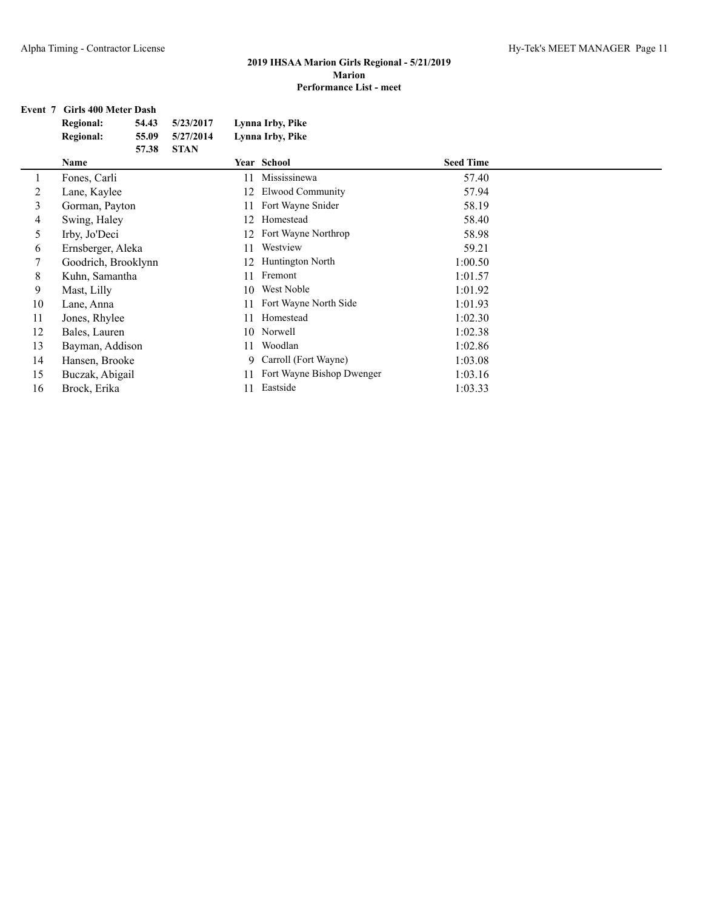## **Event 7 Girls 400 Meter Dash**

|    | <b>Regional:</b><br>54.43 | 5/23/2017   |    | Lynna Irby, Pike          |                  |  |
|----|---------------------------|-------------|----|---------------------------|------------------|--|
|    | <b>Regional:</b><br>55.09 | 5/27/2014   |    | Lynna Irby, Pike          |                  |  |
|    | 57.38<br>Name             | <b>STAN</b> |    | <b>Year School</b>        | <b>Seed Time</b> |  |
| 1  | Fones, Carli              |             | 11 | Mississinewa              | 57.40            |  |
| 2  | Lane, Kaylee              |             | 12 | Elwood Community          | 57.94            |  |
| 3  | Gorman, Payton            |             | 11 | Fort Wayne Snider         | 58.19            |  |
| 4  | Swing, Haley              |             | 12 | Homestead                 | 58.40            |  |
| 5  | Irby, Jo'Deci             |             | 12 | Fort Wayne Northrop       | 58.98            |  |
| 6  | Ernsberger, Aleka         |             | 11 | Westview                  | 59.21            |  |
| 7  | Goodrich, Brooklynn       |             | 12 | Huntington North          | 1:00.50          |  |
| 8  | Kuhn, Samantha            |             | 11 | Fremont                   | 1:01.57          |  |
| 9  | Mast, Lilly               |             | 10 | West Noble                | 1:01.92          |  |
| 10 | Lane, Anna                |             | 11 | Fort Wayne North Side     | 1:01.93          |  |
| 11 | Jones, Rhylee             |             | 11 | Homestead                 | 1:02.30          |  |
| 12 | Bales, Lauren             |             |    | 10 Norwell                | 1:02.38          |  |
| 13 | Bayman, Addison           |             | 11 | Woodlan                   | 1:02.86          |  |
| 14 | Hansen, Brooke            |             | 9  | Carroll (Fort Wayne)      | 1:03.08          |  |
| 15 | Buczak, Abigail           |             | 11 | Fort Wayne Bishop Dwenger | 1:03.16          |  |
| 16 | Brock, Erika              |             | 11 | Eastside                  | 1:03.33          |  |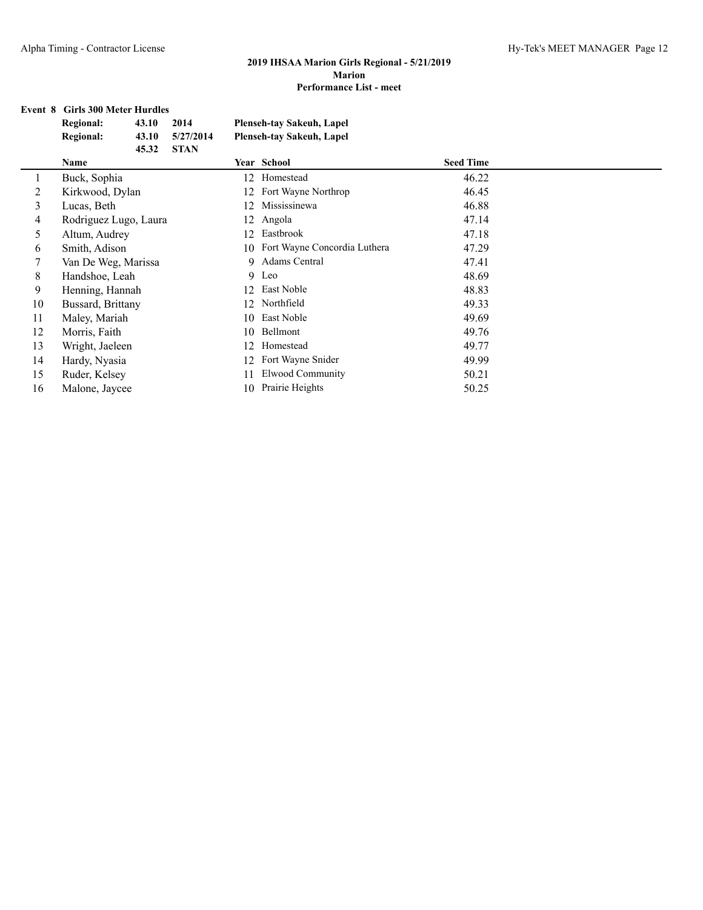## **Event 8 Girls 300 Meter Hurdles**

|    | <b>Regional:</b><br>43.10<br>2014      | <b>Plenseh-tay Sakeuh, Lapel</b>   |                  |
|----|----------------------------------------|------------------------------------|------------------|
|    | <b>Regional:</b><br>43.10<br>5/27/2014 | <b>Plenseh-tay Sakeuh, Lapel</b>   |                  |
|    | 45.32<br><b>STAN</b>                   |                                    |                  |
|    | Name                                   | Year School                        | <b>Seed Time</b> |
|    | Buck, Sophia                           | Homestead<br>12                    | 46.22            |
| 2  | Kirkwood, Dylan                        | Fort Wayne Northrop<br>12          | 46.45            |
| 3  | Lucas, Beth                            | Mississinewa<br>12                 | 46.88            |
| 4  | Rodriguez Lugo, Laura                  | 12 Angola                          | 47.14            |
| 5  | Altum, Audrey                          | Eastbrook<br>12                    | 47.18            |
| 6  | Smith, Adison                          | Fort Wayne Concordia Luthera<br>10 | 47.29            |
| 7  | Van De Weg, Marissa                    | Adams Central<br>9                 | 47.41            |
| 8  | Handshoe, Leah                         | Leo<br>9                           | 48.69            |
| 9  | Henning, Hannah                        | East Noble<br>12                   | 48.83            |
| 10 | Bussard, Brittany                      | Northfield<br>12                   | 49.33            |
| 11 | Maley, Mariah                          | East Noble<br>10                   | 49.69            |
| 12 | Morris, Faith                          | Bellmont<br>10                     | 49.76            |
| 13 | Wright, Jaeleen                        | Homestead<br>12                    | 49.77            |
| 14 | Hardy, Nyasia                          | Fort Wayne Snider<br>12            | 49.99            |
| 15 | Ruder, Kelsey                          | Elwood Community<br>11             | 50.21            |
| 16 | Malone, Jaycee                         | Prairie Heights<br>10.             | 50.25            |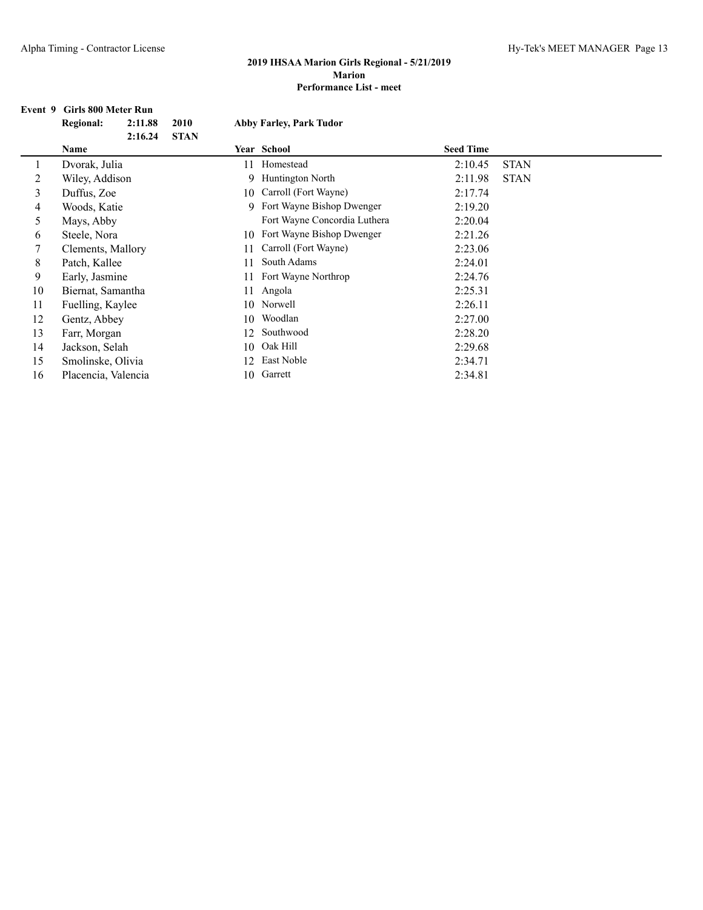#### **Event 9 Girls 800 Meter Run**

|    | <b>Regional:</b>    | 2:11.88 | 2010        |    | <b>Abby Farley, Park Tudor</b> |                  |             |
|----|---------------------|---------|-------------|----|--------------------------------|------------------|-------------|
|    |                     | 2:16.24 | <b>STAN</b> |    |                                |                  |             |
|    | Name                |         |             |    | Year School                    | <b>Seed Time</b> |             |
| 1  | Dvorak, Julia       |         |             | 11 | Homestead                      | 2:10.45          | <b>STAN</b> |
| 2  | Wiley, Addison      |         |             |    | 9 Huntington North             | 2:11.98          | <b>STAN</b> |
| 3  | Duffus, Zoe         |         |             | 10 | Carroll (Fort Wayne)           | 2:17.74          |             |
| 4  | Woods, Katie        |         |             |    | 9 Fort Wayne Bishop Dwenger    | 2:19.20          |             |
| 5  | Mays, Abby          |         |             |    | Fort Wayne Concordia Luthera   | 2:20.04          |             |
| 6  | Steele, Nora        |         |             | 10 | Fort Wayne Bishop Dwenger      | 2:21.26          |             |
| 7  | Clements, Mallory   |         |             | 11 | Carroll (Fort Wayne)           | 2:23.06          |             |
| 8  | Patch, Kallee       |         |             | 11 | South Adams                    | 2:24.01          |             |
| 9  | Early, Jasmine      |         |             | 11 | Fort Wayne Northrop            | 2:24.76          |             |
| 10 | Biernat, Samantha   |         |             | 11 | Angola                         | 2:25.31          |             |
| 11 | Fuelling, Kaylee    |         |             | 10 | Norwell                        | 2:26.11          |             |
| 12 | Gentz, Abbey        |         |             | 10 | Woodlan                        | 2:27.00          |             |
| 13 | Farr, Morgan        |         |             | 12 | Southwood                      | 2:28.20          |             |
| 14 | Jackson, Selah      |         |             | 10 | Oak Hill                       | 2:29.68          |             |
| 15 | Smolinske, Olivia   |         |             | 12 | East Noble                     | 2:34.71          |             |
| 16 | Placencia, Valencia |         |             | 10 | Garrett                        | 2:34.81          |             |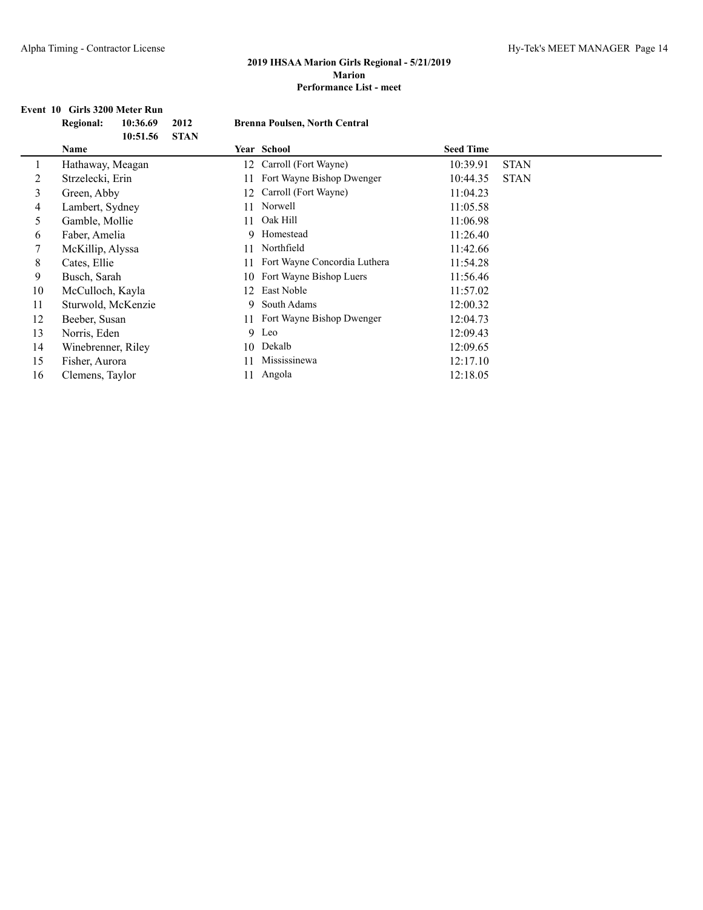## **Event 10 Girls 3200 Meter Run**

|    | <b>Regional:</b><br>10:36.69<br>2012 | <b>Brenna Poulsen, North Central</b> |                         |  |  |
|----|--------------------------------------|--------------------------------------|-------------------------|--|--|
|    | 10:51.56<br><b>STAN</b><br>Name      | Year School                          | <b>Seed Time</b>        |  |  |
| 1  | Hathaway, Meagan                     | Carroll (Fort Wayne)<br>12           | <b>STAN</b><br>10:39.91 |  |  |
| 2  | Strzelecki, Erin                     | Fort Wayne Bishop Dwenger<br>11      | <b>STAN</b><br>10:44.35 |  |  |
| 3  | Green, Abby                          | Carroll (Fort Wayne)<br>12           | 11:04.23                |  |  |
| 4  | Lambert, Sydney                      | Norwell<br>11                        | 11:05.58                |  |  |
| 5. | Gamble, Mollie                       | Oak Hill<br>11                       | 11:06.98                |  |  |
| 6  | Faber, Amelia                        | 9 Homestead                          | 11:26.40                |  |  |
| 7  | McKillip, Alyssa                     | Northfield<br>11                     | 11:42.66                |  |  |
| 8  | Cates, Ellie                         | Fort Wayne Concordia Luthera<br>11   | 11:54.28                |  |  |
| 9  | Busch, Sarah                         | Fort Wayne Bishop Luers<br>10        | 11:56.46                |  |  |
| 10 | McCulloch, Kayla                     | East Noble<br>12                     | 11:57.02                |  |  |
| 11 | Sturwold, McKenzie                   | South Adams<br>9                     | 12:00.32                |  |  |
| 12 | Beeber, Susan                        | Fort Wayne Bishop Dwenger<br>11      | 12:04.73                |  |  |
| 13 | Norris, Eden                         | 9 Leo                                | 12:09.43                |  |  |
| 14 | Winebrenner, Riley                   | Dekalb<br>10                         | 12:09.65                |  |  |
| 15 | Fisher, Aurora                       | Mississinewa<br>11                   | 12:17.10                |  |  |
| 16 | Clemens, Taylor                      | Angola<br>11                         | 12:18.05                |  |  |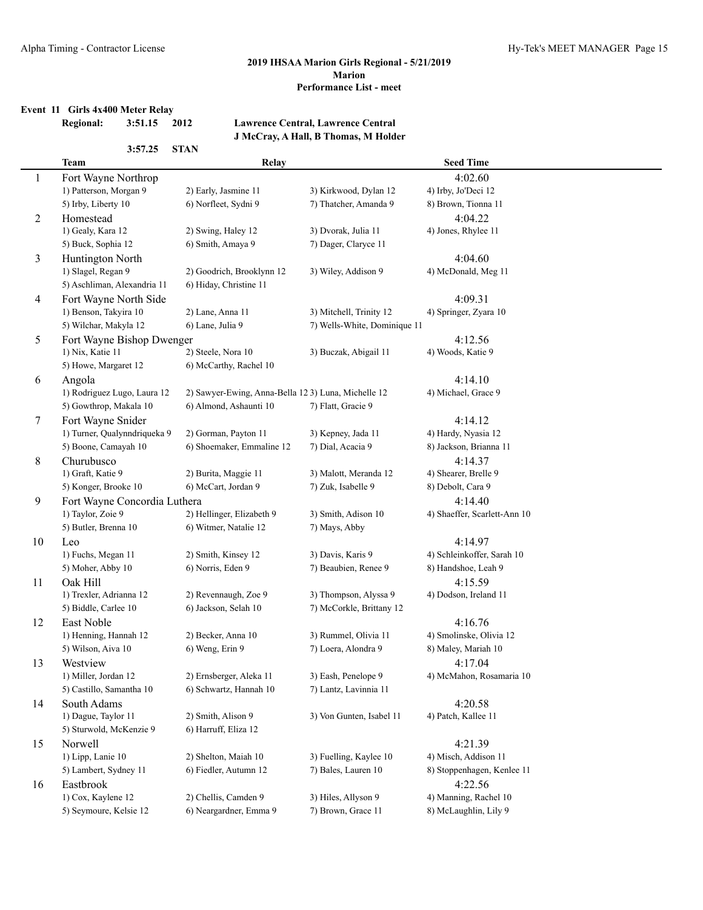## **Event 11 Girls 4x400 Meter Relay**

## **Regional: 3:51.15 2012 Lawrence Central, Lawrence Central**

**3:57.25 STAN**

## **J McCray, A Hall, B Thomas, M Holder**

|                | <b>Team</b>                                 | Relay                                               |                                             | <b>Seed Time</b>                    |
|----------------|---------------------------------------------|-----------------------------------------------------|---------------------------------------------|-------------------------------------|
| 1              | Fort Wayne Northrop                         |                                                     |                                             | 4:02.60                             |
|                | 1) Patterson, Morgan 9                      | 2) Early, Jasmine 11                                | 3) Kirkwood, Dylan 12                       | 4) Irby, Jo'Deci 12                 |
|                | 5) Irby, Liberty 10                         | 6) Norfleet, Sydni 9                                | 7) Thatcher, Amanda 9                       | 8) Brown, Tionna 11                 |
| $\overline{2}$ | Homestead                                   |                                                     |                                             | 4:04.22                             |
|                | 1) Gealy, Kara 12                           | 2) Swing, Haley 12                                  | 3) Dvorak, Julia 11                         | 4) Jones, Rhylee 11                 |
|                | 5) Buck, Sophia 12                          | 6) Smith, Amaya 9                                   | 7) Dager, Claryce 11                        |                                     |
| 3              | Huntington North                            |                                                     |                                             | 4:04.60                             |
|                | 1) Slagel, Regan 9                          | 2) Goodrich, Brooklynn 12                           | 3) Wiley, Addison 9                         | 4) McDonald, Meg 11                 |
|                | 5) Aschliman, Alexandria 11                 | 6) Hiday, Christine 11                              |                                             |                                     |
| 4              | Fort Wayne North Side                       |                                                     |                                             | 4:09.31                             |
|                | 1) Benson, Takyira 10                       | 2) Lane, Anna 11                                    | 3) Mitchell, Trinity 12                     | 4) Springer, Zyara 10               |
|                | 5) Wilchar, Makyla 12                       | 6) Lane, Julia 9                                    | 7) Wells-White, Dominique 11                |                                     |
| 5              | Fort Wayne Bishop Dwenger                   |                                                     |                                             | 4:12.56                             |
|                | 1) Nix, Katie 11                            | 2) Steele, Nora 10                                  | 3) Buczak, Abigail 11                       | 4) Woods, Katie 9                   |
|                | 5) Howe, Margaret 12                        | 6) McCarthy, Rachel 10                              |                                             |                                     |
| 6              | Angola                                      |                                                     |                                             | 4:14.10                             |
|                | 1) Rodriguez Lugo, Laura 12                 | 2) Sawyer-Ewing, Anna-Bella 12 3) Luna, Michelle 12 |                                             | 4) Michael, Grace 9                 |
|                | 5) Gowthrop, Makala 10                      | 6) Almond, Ashaunti 10                              | 7) Flatt, Gracie 9                          |                                     |
| 7              | Fort Wayne Snider                           |                                                     |                                             | 4:14.12                             |
|                | 1) Turner, Qualynndriqueka 9                | 2) Gorman, Payton 11                                | 3) Kepney, Jada 11                          | 4) Hardy, Nyasia 12                 |
|                | 5) Boone, Camayah 10                        | 6) Shoemaker, Emmaline 12                           | 7) Dial, Acacia 9                           | 8) Jackson, Brianna 11              |
| 8              | Churubusco                                  |                                                     |                                             | 4:14.37                             |
|                | 1) Graft, Katie 9                           | 2) Burita, Maggie 11                                | 3) Malott, Meranda 12                       | 4) Shearer, Brelle 9                |
|                | 6) McCart, Jordan 9<br>5) Konger, Brooke 10 |                                                     | 7) Zuk, Isabelle 9                          | 8) Debolt, Cara 9                   |
| 9              | Fort Wayne Concordia Luthera                |                                                     |                                             | 4:14.40                             |
|                | 1) Taylor, Zoie 9                           | 2) Hellinger, Elizabeth 9                           | 3) Smith, Adison 10                         | 4) Shaeffer, Scarlett-Ann 10        |
|                | 5) Butler, Brenna 10                        | 6) Witmer, Natalie 12                               | 7) Mays, Abby                               |                                     |
| $10\,$         | Leo                                         |                                                     |                                             | 4:14.97                             |
|                | 1) Fuchs, Megan 11                          | 2) Smith, Kinsey 12                                 | 3) Davis, Karis 9                           | 4) Schleinkoffer, Sarah 10          |
|                | 5) Moher, Abby 10                           | 6) Norris, Eden 9                                   | 7) Beaubien, Renee 9                        | 8) Handshoe, Leah 9                 |
| 11             | Oak Hill                                    |                                                     |                                             | 4:15.59                             |
|                | 1) Trexler, Adrianna 12                     | 2) Revennaugh, Zoe 9                                | 3) Thompson, Alyssa 9                       | 4) Dodson, Ireland 11               |
|                | 5) Biddle, Carlee 10                        | 6) Jackson, Selah 10                                | 7) McCorkle, Brittany 12                    |                                     |
| 12             | East Noble<br>1) Henning, Hannah 12         |                                                     |                                             | 4:16.76<br>4) Smolinske, Olivia 12  |
|                | 5) Wilson, Aiva 10                          | 2) Becker, Anna 10<br>6) Weng, Erin 9               | 3) Rummel, Olivia 11<br>7) Loera, Alondra 9 | 8) Maley, Mariah 10                 |
|                |                                             |                                                     |                                             |                                     |
| 13             | Westview<br>1) Miller, Jordan 12            | 2) Ernsberger, Aleka 11                             | 3) Eash, Penelope 9                         | 4:17.04<br>4) McMahon, Rosamaria 10 |
|                | 5) Castillo, Samantha 10                    | 6) Schwartz, Hannah 10                              | 7) Lantz, Lavinnia 11                       |                                     |
|                | South Adams                                 |                                                     |                                             | 4:20.58                             |
| 14             | 1) Dague, Taylor 11                         | 2) Smith, Alison 9                                  | 3) Von Gunten, Isabel 11                    | 4) Patch, Kallee 11                 |
|                | 5) Sturwold, McKenzie 9                     | 6) Harruff, Eliza 12                                |                                             |                                     |
| 15             | Norwell                                     |                                                     |                                             | 4:21.39                             |
|                | 1) Lipp, Lanie 10                           | 2) Shelton, Maiah 10                                | 3) Fuelling, Kaylee 10                      | 4) Misch, Addison 11                |
|                | 5) Lambert, Sydney 11                       | 6) Fiedler, Autumn 12                               | 7) Bales, Lauren 10                         | 8) Stoppenhagen, Kenlee 11          |
| 16             | Eastbrook                                   |                                                     |                                             | 4:22.56                             |
|                | 1) Cox, Kaylene 12                          | 2) Chellis, Camden 9                                | 3) Hiles, Allyson 9                         | 4) Manning, Rachel 10               |
|                | 5) Seymoure, Kelsie 12                      | 6) Neargardner, Emma 9                              | 7) Brown, Grace 11                          | 8) McLaughlin, Lily 9               |
|                |                                             |                                                     |                                             |                                     |